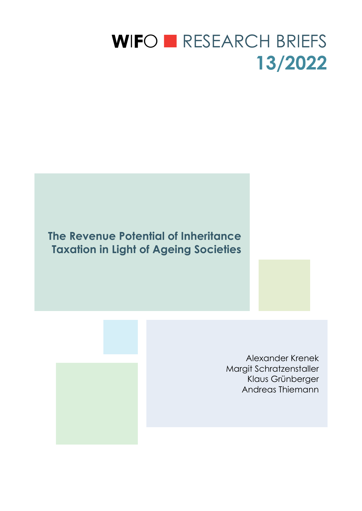# WIFO **EXELARCH BRIEFS 13/2022**

**The Revenue Potential of Inheritance Taxation in Light of Ageing Societies** 

> Alexander Krenek Margit Schratzenstaller Klaus Grünberger Andreas Thiemann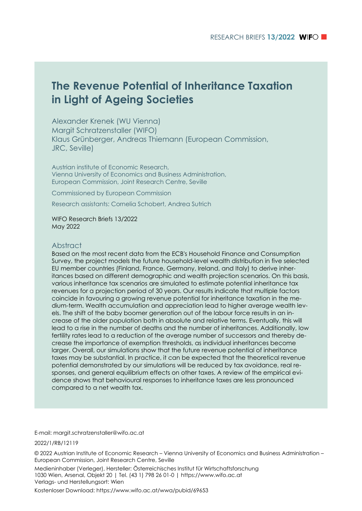### **The Revenue Potential of Inheritance Taxation in Light of Ageing Societies**

Alexander Krenek (WU Vienna) Margit Schratzenstaller (WIFO) Klaus Grünberger, Andreas Thiemann (European Commission, JRC, Seville)

Austrian institute of Economic Research, Vienna University of Economics and Business Administration, European Commission, Joint Research Centre, Seville

Commissioned by European Commission

Research assistants: Cornelia Schobert, Andrea Sutrich

WIFO Research Briefs 13/2022 May 2022

#### Abstract

Based on the most recent data from the ECB's Household Finance and Consumption Survey, the project models the future household-level wealth distribution in five selected EU member countries (Finland, France, Germany, Ireland, and Italy) to derive inheritances based on different demographic and wealth projection scenarios. On this basis, various inheritance tax scenarios are simulated to estimate potential inheritance tax revenues for a projection period of 30 years. Our results indicate that multiple factors coincide in favouring a growing revenue potential for inheritance taxation in the medium-term. Wealth accumulation and appreciation lead to higher average wealth levels. The shift of the baby boomer generation out of the labour force results in an increase of the older population both in absolute and relative terms. Eventually, this will lead to a rise in the number of deaths and the number of inheritances. Additionally, low fertility rates lead to a reduction of the average number of successors and thereby decrease the importance of exemption thresholds, as individual inheritances become larger. Overall, our simulations show that the future revenue potential of inheritance taxes may be substantial. In practice, it can be expected that the theoretical revenue potential demonstrated by our simulations will be reduced by tax avoidance, real responses, and general equilibrium effects on other taxes. A review of the empirical evidence shows that behavioural responses to inheritance taxes are less pronounced compared to a net wealth tax.

E-mail: margit.schratzenstaller@wifo.ac.at

2022/1/RB/12119

© 2022 Austrian Institute of Economic Research – Vienna University of Economics and Business Administration – European Commission, Joint Research Centre, Seville

Medieninhaber (Verleger), Hersteller: Österreichisches Institut für Wirtschaftsforschung 1030 Wien, Arsenal, Objekt 20 | Tel. (43 1) 798 26 01-0 | https://www.wifo.ac.at Verlags- und Herstellungsort: Wien

Kostenloser Download: https://www.wifo.ac.at/wwa/pubid/69653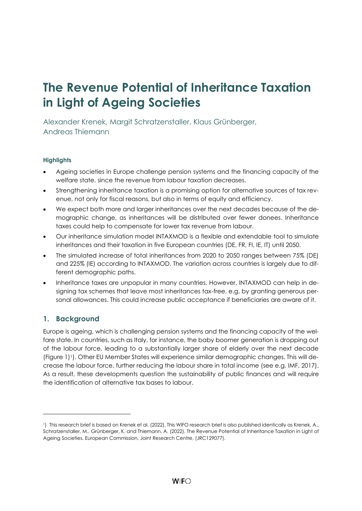## **The Revenue Potential of Inheritance Taxation in Light of Ageing Societies**

Alexander Krenek, Margit Schratzenstaller, Klaus Grünberger, Andreas Thiemann

#### **Highlights**

- Ageing societies in Europe challenge pension systems and the financing capacity of the welfare state, since the revenue from labour taxation decreases.
- Strengthening inheritance taxation is a promising option for alternative sources of tax revenue, not only for fiscal reasons, but also in terms of equity and efficiency.
- We expect both more and larger inheritances over the next decades because of the demographic change, as inheritances will be distributed over fewer donees. Inheritance taxes could help to compensate for lower tax revenue from labour.
- Our inheritance simulation model INTAXMOD is a flexible and extendable tool to simulate inheritances and their taxation in five European countries (DE, FR, FI, IE, IT) until 2050.
- The simulated increase of total inheritances from 2020 to 2050 ranges between 75% (DE) and 225% (IE) according to INTAXMOD. The variation across countries is largely due to different demographic paths.
- Inheritance taxes are unpopular in many countries. However, INTAXMOD can help in designing tax schemes that leave most inheritances tax-free, e.g. by granting generous personal allowances. This could increase public acceptance if beneficiaries are aware of it.

#### **1. Background**

Europe is ageing, which is challenging pension systems and the financing capacity of the welfare state. In countries, such as Italy, for instance, the baby boomer generation is dropping out of the labour force, leading to a substantially larger share of elderly over the next decade [\(Figure 1\)](#page-3-0) <sup>1</sup>). Other EU Member States will experience similar demographic changes. This will decrease the labour force, further reducing the labour share in total income (see e.g. IMF, 2017). As a result, these developments question the sustainability of public finances and will require the identification of alternative tax bases to labour.

<sup>1</sup>) This research brief is based on Krenek et al. (2022). This WIFO research brief is also published identically as Krenek, A., Schratzenstaller, M., Grünberger, K. and Thiemann, A. (2022). The Revenue Potential of Inheritance Taxation in Light of Ageing Societies. European Commission, Joint Research Centre, (JRC129077).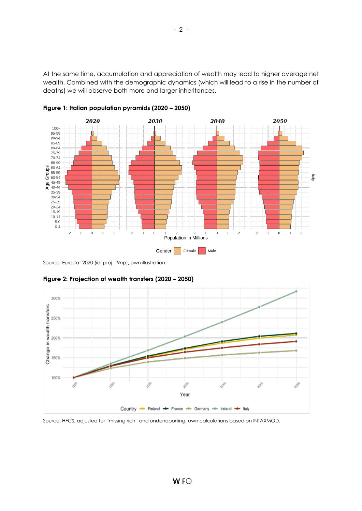At the same time, accumulation and appreciation of wealth may lead to higher average net wealth. Combined with the demographic dynamics (which will lead to a rise in the number of deaths) we will observe both more and larger inheritances.



<span id="page-3-0"></span>**Figure 1: Italian population pyramids (2020 – 2050)**

Source: Eurostat 2020 (id: proj\_19np), own illustration.



<span id="page-3-1"></span>**Figure 2: Projection of wealth transfers (2020 – 2050)**

Source: HFCS, adjusted for "missing rich" and underreporting, own calculations based on INTAXMOD.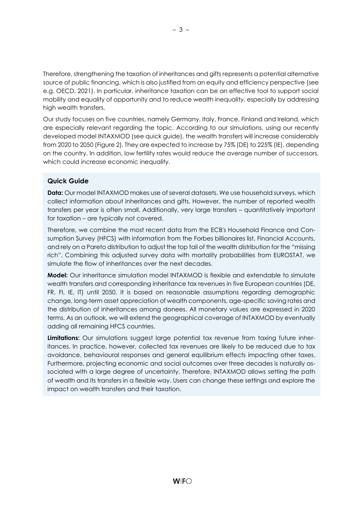Therefore, strengthening the taxation of inheritances and gifts represents a potential alternative source of public financing, which is also justified from an equity and efficiency perspective (see e.g. OECD, 2021). In particular, inheritance taxation can be an effective tool to support social mobility and equality of opportunity and to reduce wealth inequality, especially by addressing high wealth transfers.

Our study focuses on five countries, namely Germany, Italy, France, Finland and Ireland, which are especially relevant regarding the topic. According to our simulations, using our recently developed model INTAXMOD (see quick guide), the wealth transfers will increase considerably from 2020 to 2050 [\(Figure 2\)](#page-3-1). They are expected to increase by 75% (DE) to 225% (IE), depending on the country. In addition, low fertility rates would reduce the average number of successors, which could increase economic inequality.

#### **Quick Guide**

**Data:** Our model INTAXMOD makes use of several datasets. We use household surveys, which collect information about inheritances and gifts. However, the number of reported wealth transfers per year is often small. Additionally, very large transfers – quantitatively important for taxation – are typically not covered.

Therefore, we combine the most recent data from the ECB's Household Finance and Consumption Survey (HFCS) with information from the Forbes billionaires list, Financial Accounts, and rely on a Pareto distribution to adjust the top tail of the wealth distribution for the "missing rich". Combining this adjusted survey data with mortality probabilities from EUROSTAT, we simulate the flow of inheritances over the next decades.

**Model:** Our inheritance simulation model INTAXMOD is flexible and extendable to simulate wealth transfers and corresponding inheritance tax revenues in five European countries (DE, FR, FI, IE, IT) until 2050. It is based on reasonable assumptions regarding demographic change, long-term asset appreciation of wealth components, age-specific saving rates and the distribution of inheritances among donees. All monetary values are expressed in 2020 terms. As an outlook, we will extend the geographical coverage of INTAXMOD by eventually adding all remaining HFCS countries.

**Limitations:** Our simulations suggest large potential tax revenue from taxing future inheritances. In practice, however, collected tax revenues are likely to be reduced due to tax avoidance, behavioural responses and general equilibrium effects impacting other taxes. Furthermore, projecting economic and social outcomes over three decades is naturally associated with a large degree of uncertainty. Therefore, INTAXMOD allows setting the path of wealth and its transfers in a flexible way. Users can change these settings and explore the impact on wealth transfers and their taxation.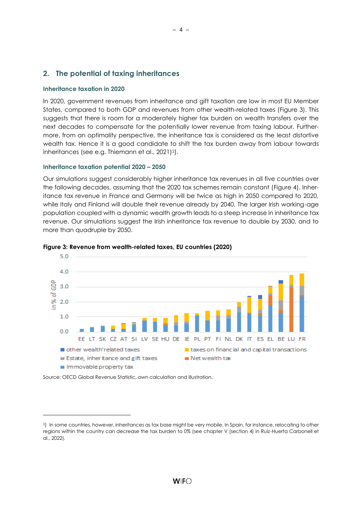#### **2. The potential of taxing inheritances**

#### **Inheritance taxation in 2020**

In 2020, government revenues from inheritance and gift taxation are low in most EU Member States, compared to both GDP and revenues from other wealth-related taxes [\(Figure 3\)](#page-5-0). This suggests that there is room for a moderately higher tax burden on wealth transfers over the next decades to compensate for the potentially lower revenue from taxing labour. Furthermore, from an optimality perspective, the inheritance tax is considered as the least distortive wealth tax. Hence it is a good candidate to shift the tax burden away from labour towards inheritances (see e.g. Thiemann et al., 2021)2).

#### **Inheritance taxation potential 2020 – 2050**

Our simulations suggest considerably higher inheritance tax revenues in all five countries over the following decades, assuming that the 2020 tax schemes remain constant [\(Figure 4\)](#page-6-0). Inheritance tax revenue in France and Germany will be twice as high in 2050 compared to 2020, while Italy and Finland will double their revenue already by 2040. The larger Irish working-age population coupled with a dynamic wealth growth leads to a steep increase in inheritance tax revenue. Our simulations suggest the Irish inheritance tax revenue to double by 2030, and to more than quadruple by 2050.



#### <span id="page-5-0"></span>**Figure 3: Revenue from wealth-related taxes, EU countries (2020)**

Source: OECD Global Revenue Statistic, own calculation and illustration.

<sup>2</sup>) In some countries, however, inheritances as tax base might be very mobile. In Spain, for instance, relocating to other regions within the country can decrease the tax burden to 0% (see chapter V (section 4) in Ruiz-Huerta Carbonell et al., 2022).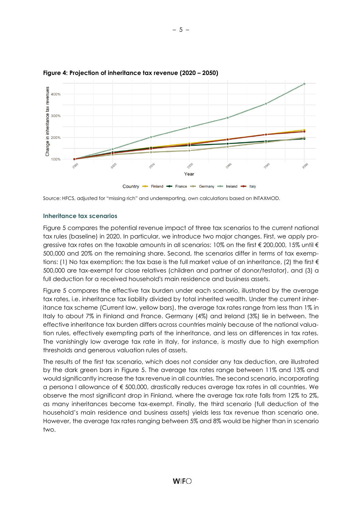

#### <span id="page-6-0"></span>**Figure 4: Projection of inheritance tax revenue (2020 – 2050)**

Source: HFCS, adjusted for "missing rich" and underreporting, own calculations based on INTAXMOD.

#### **Inheritance tax scenarios**

[Figure 5](#page-7-0) compares the potential revenue impact of three tax scenarios to the current national tax rules (baseline) in 2020. In particular, we introduce two major changes. First, we apply progressive tax rates on the taxable amounts in all scenarios: 10% on the first € 200,000, 15% until € 500,000 and 20% on the remaining share. Second, the scenarios differ in terms of tax exemptions: (1) No tax exemption: the tax base is the full market value of an inheritance, (2) the first  $\epsilon$ 500,000 are tax-exempt for close relatives (children and partner of donor/testator), and (3) a full deduction for a received household's main residence and business assets.

[Figure 5](#page-7-0) compares the effective tax burden under each scenario, illustrated by the average tax rates, i.e. inheritance tax liability divided by total inherited wealth. Under the current inheritance tax scheme (Current law, yellow bars), the average tax rates range from less than 1% in Italy to about 7% in Finland and France. Germany (4%) and Ireland (3%) lie in between. The effective inheritance tax burden differs across countries mainly because of the national valuation rules, effectively exempting parts of the inheritance, and less on differences in tax rates. The vanishingly low average tax rate in Italy, for instance, is mostly due to high exemption thresholds and generous valuation rules of assets.

The results of the first tax scenario, which does not consider any tax deduction, are illustrated by the dark green bars in [Figure 5.](#page-7-0) The average tax rates range between 11% and 13% and would significantly increase the tax revenue in all countries. The second scenario, incorporating a persona l allowance of € 500,000, drastically reduces average tax rates in all countries. We observe the most significant drop in Finland, where the average tax rate falls from 12% to 2%, as many inheritances become tax-exempt. Finally, the third scenario (full deduction of the household's main residence and business assets) yields less tax revenue than scenario one. However, the average tax rates ranging between 5% and 8% would be higher than in scenario two.